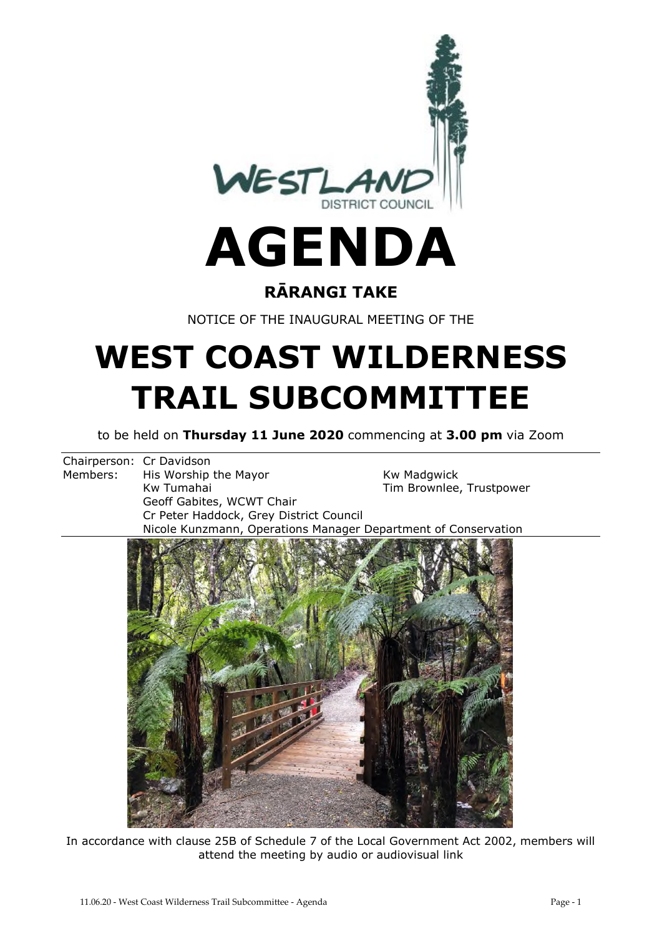

#### **RĀRANGI TAKE**

NOTICE OF THE INAUGURAL MEETING OF THE

## **WEST COAST WILDERNESS TRAIL SUBCOMMITTEE**

to be held on **Thursday 11 June 2020** commencing at **3.00 pm** via Zoom

Chairperson: Cr Davidson Members: His Worship the Mayor Members: His Worship the Mayor Kw Tumahai North Christopher Christopher Tim Brownlee, Trustpower Geoff Gabites, WCWT Chair Cr Peter Haddock, Grey District Council Nicole Kunzmann, Operations Manager Department of Conservation



In accordance with clause 25B of Schedule 7 of the Local Government Act 2002, members will attend the meeting by audio or audiovisual link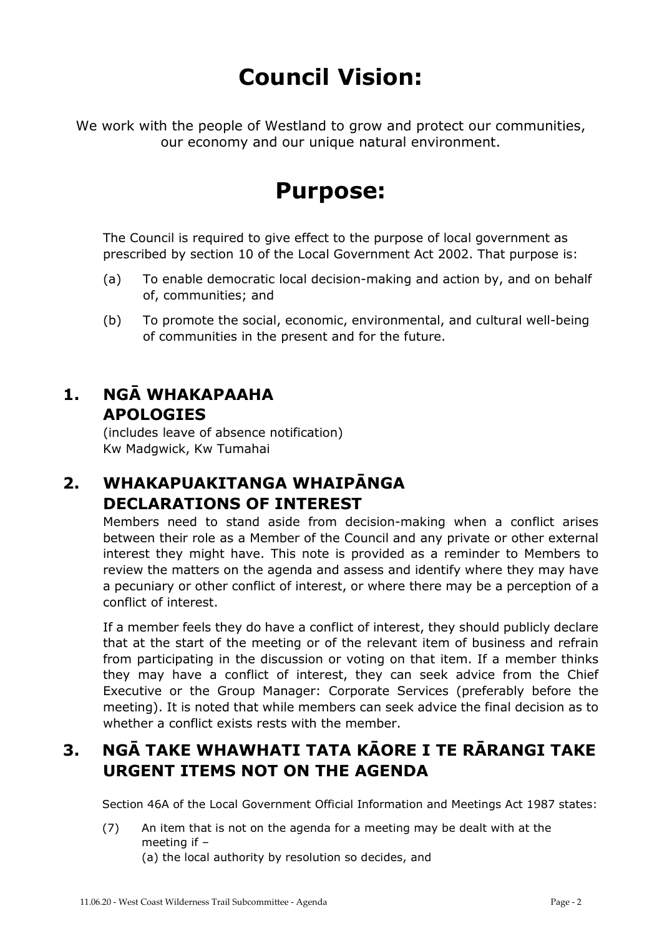## **Council Vision:**

We work with the people of Westland to grow and protect our communities, our economy and our unique natural environment.

### **Purpose:**

The Council is required to give effect to the purpose of local government as prescribed by section 10 of the Local Government Act 2002. That purpose is:

- (a) To enable democratic local decision-making and action by, and on behalf of, communities; and
- (b) To promote the social, economic, environmental, and cultural well-being of communities in the present and for the future.

#### **1. NGĀ WHAKAPAAHA APOLOGIES**

(includes leave of absence notification) Kw Madgwick, Kw Tumahai

#### **2. WHAKAPUAKITANGA WHAIPĀNGA DECLARATIONS OF INTEREST**

Members need to stand aside from decision-making when a conflict arises between their role as a Member of the Council and any private or other external interest they might have. This note is provided as a reminder to Members to review the matters on the agenda and assess and identify where they may have a pecuniary or other conflict of interest, or where there may be a perception of a conflict of interest.

If a member feels they do have a conflict of interest, they should publicly declare that at the start of the meeting or of the relevant item of business and refrain from participating in the discussion or voting on that item. If a member thinks they may have a conflict of interest, they can seek advice from the Chief Executive or the Group Manager: Corporate Services (preferably before the meeting). It is noted that while members can seek advice the final decision as to whether a conflict exists rests with the member.

#### **3. NGĀ TAKE WHAWHATI TATA KĀORE I TE RĀRANGI TAKE URGENT ITEMS NOT ON THE AGENDA**

Section 46A of the Local Government Official Information and Meetings Act 1987 states:

(7) An item that is not on the agenda for a meeting may be dealt with at the meeting if – (a) the local authority by resolution so decides, and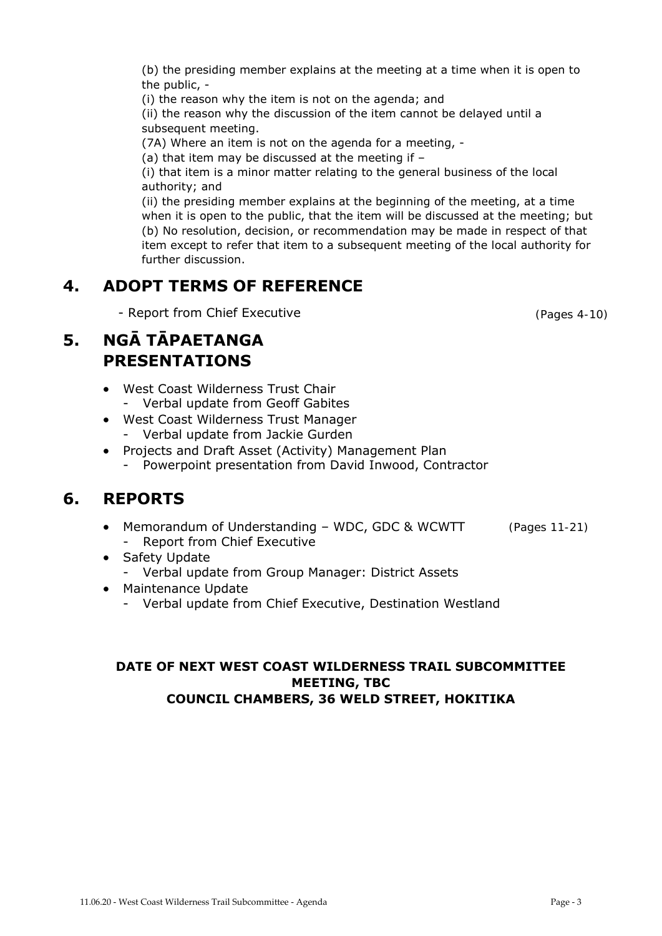(ii) the reason why the discussion of the item cannot be delayed until a subsequent meeting.

(b) the presiding member explains at the meeting at a time when it is open to

(7A) Where an item is not on the agenda for a meeting, -

(a) that item may be discussed at the meeting if –

(i) the reason why the item is not on the agenda; and

(i) that item is a minor matter relating to the general business of the local authority; and

(ii) the presiding member explains at the beginning of the meeting, at a time when it is open to the public, that the item will be discussed at the meeting; but (b) No resolution, decision, or recommendation may be made in respect of that item except to refer that item to a subsequent meeting of the local authority for further discussion.

#### **4. ADOPT TERMS OF REFERENCE**

- Report from Chief Executive

#### **5. NGĀ TĀPAETANGA PRESENTATIONS**

the public, -

- West Coast Wilderness Trust Chair - Verbal update from Geoff Gabites
- West Coast Wilderness Trust Manager
	- Verbal update from Jackie Gurden
- Projects and Draft Asset (Activity) Management Plan
	- Powerpoint presentation from David Inwood, Contractor

#### **6. REPORTS**

- Memorandum of Understanding WDC, GDC & WCWTT - Report from Chief Executive (Pages 11-21)
- Safety Update
	- Verbal update from Group Manager: District Assets
- Maintenance Update
	- Verbal update from Chief Executive, Destination Westland

#### **DATE OF NEXT WEST COAST WILDERNESS TRAIL SUBCOMMITTEE MEETING, TBC COUNCIL CHAMBERS, 36 WELD STREET, HOKITIKA**

(Pages 4-10)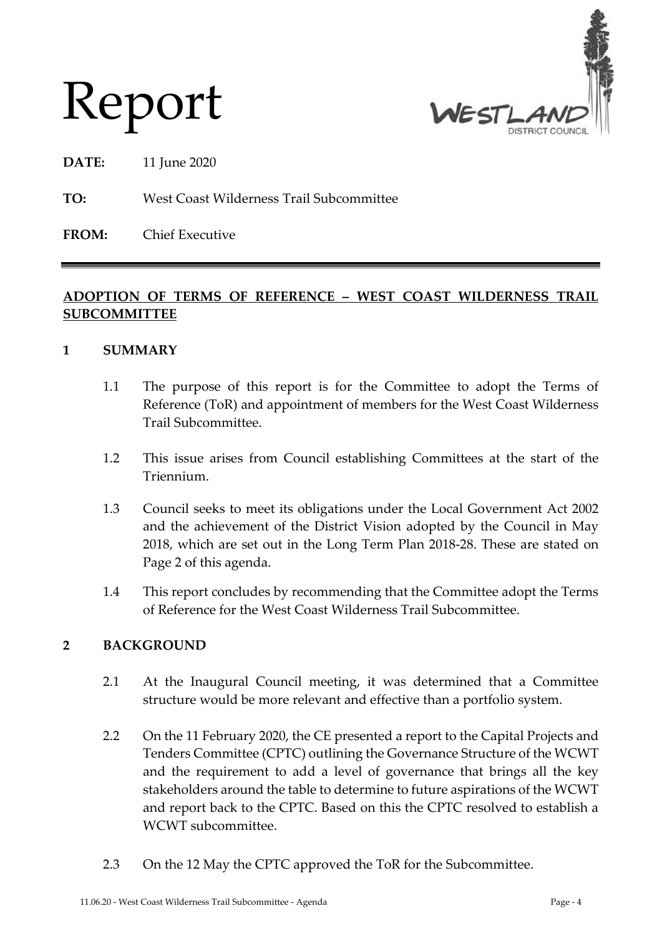

# Report

**DATE:** 11 June 2020

#### **TO:** West Coast Wilderness Trail Subcommittee

**FROM:** Chief Executive

#### **ADOPTION OF TERMS OF REFERENCE – WEST COAST WILDERNESS TRAIL SUBCOMMITTEE**

#### **1 SUMMARY**

- 1.1 The purpose of this report is for the Committee to adopt the Terms of Reference (ToR) and appointment of members for the West Coast Wilderness Trail Subcommittee.
- 1.2 This issue arises from Council establishing Committees at the start of the Triennium.
- 1.3 Council seeks to meet its obligations under the Local Government Act 2002 and the achievement of the District Vision adopted by the Council in May 2018, which are set out in the Long Term Plan 2018-28. These are stated on Page 2 of this agenda.
- 1.4 This report concludes by recommending that the Committee adopt the Terms of Reference for the West Coast Wilderness Trail Subcommittee.

#### **2 BACKGROUND**

- 2.1 At the Inaugural Council meeting, it was determined that a Committee structure would be more relevant and effective than a portfolio system.
- 2.2 On the 11 February 2020, the CE presented a report to the Capital Projects and Tenders Committee (CPTC) outlining the Governance Structure of the WCWT and the requirement to add a level of governance that brings all the key stakeholders around the table to determine to future aspirations of the WCWT and report back to the CPTC. Based on this the CPTC resolved to establish a WCWT subcommittee.
- 2.3 On the 12 May the CPTC approved the ToR for the Subcommittee.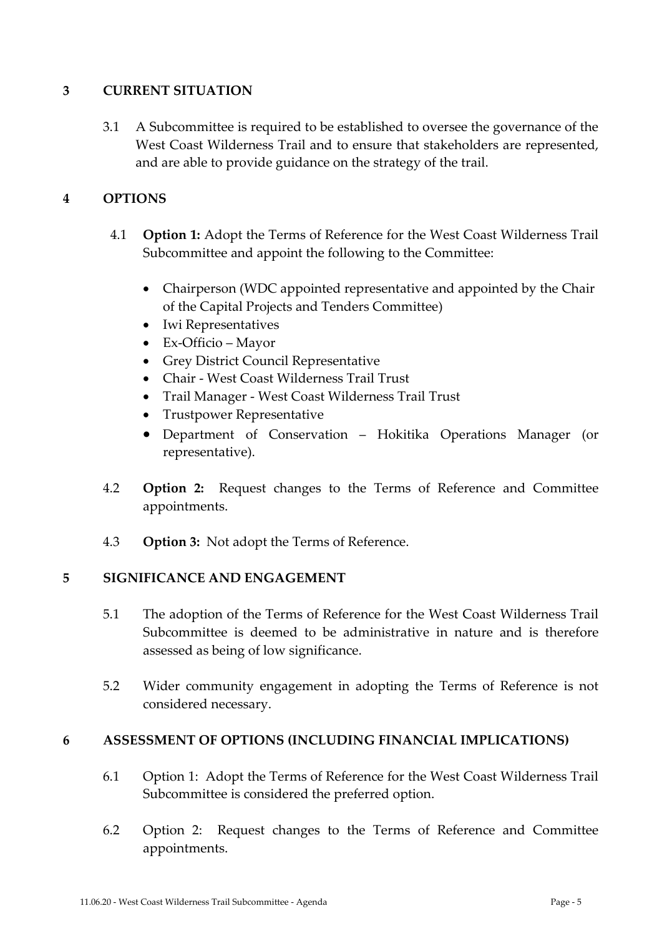#### **3 CURRENT SITUATION**

3.1 A Subcommittee is required to be established to oversee the governance of the West Coast Wilderness Trail and to ensure that stakeholders are represented, and are able to provide guidance on the strategy of the trail.

#### **4 OPTIONS**

- 4.1 **Option 1:** Adopt the Terms of Reference for the West Coast Wilderness Trail Subcommittee and appoint the following to the Committee:
	- Chairperson (WDC appointed representative and appointed by the Chair of the Capital Projects and Tenders Committee)
	- Iwi Representatives
	- Ex-Officio Mayor
	- Grey District Council Representative
	- Chair West Coast Wilderness Trail Trust
	- Trail Manager West Coast Wilderness Trail Trust
	- Trustpower Representative
	- Department of Conservation Hokitika Operations Manager (or representative).
- 4.2 **Option 2:** Request changes to the Terms of Reference and Committee appointments.
- 4.3 **Option 3:** Not adopt the Terms of Reference.

#### **5 SIGNIFICANCE AND ENGAGEMENT**

- 5.1 The adoption of the Terms of Reference for the West Coast Wilderness Trail Subcommittee is deemed to be administrative in nature and is therefore assessed as being of low significance.
- 5.2 Wider community engagement in adopting the Terms of Reference is not considered necessary.

#### **6 ASSESSMENT OF OPTIONS (INCLUDING FINANCIAL IMPLICATIONS)**

- 6.1 Option 1: Adopt the Terms of Reference for the West Coast Wilderness Trail Subcommittee is considered the preferred option.
- 6.2 Option 2: Request changes to the Terms of Reference and Committee appointments.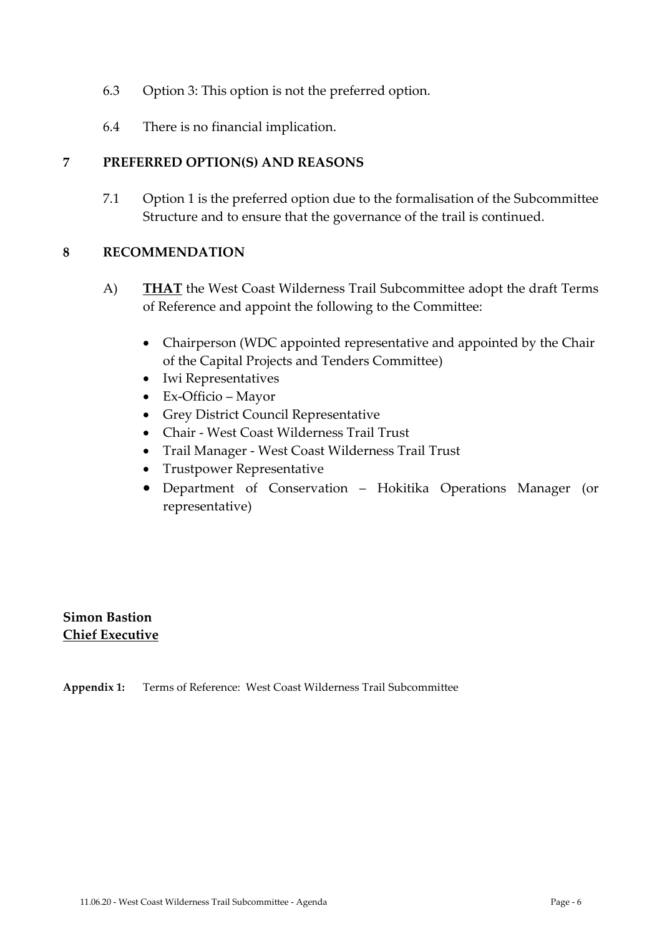- 6.3 Option 3: This option is not the preferred option.
- 6.4 There is no financial implication.

#### **7 PREFERRED OPTION(S) AND REASONS**

7.1 Option 1 is the preferred option due to the formalisation of the Subcommittee Structure and to ensure that the governance of the trail is continued.

#### **8 RECOMMENDATION**

- A) **THAT** the West Coast Wilderness Trail Subcommittee adopt the draft Terms of Reference and appoint the following to the Committee:
	- Chairperson (WDC appointed representative and appointed by the Chair of the Capital Projects and Tenders Committee)
	- Iwi Representatives
	- Ex-Officio Mayor
	- Grey District Council Representative
	- Chair West Coast Wilderness Trail Trust
	- Trail Manager West Coast Wilderness Trail Trust
	- Trustpower Representative
	- Department of Conservation Hokitika Operations Manager (or representative)

**Simon Bastion Chief Executive**

**Appendix 1:** Terms of Reference: West Coast Wilderness Trail Subcommittee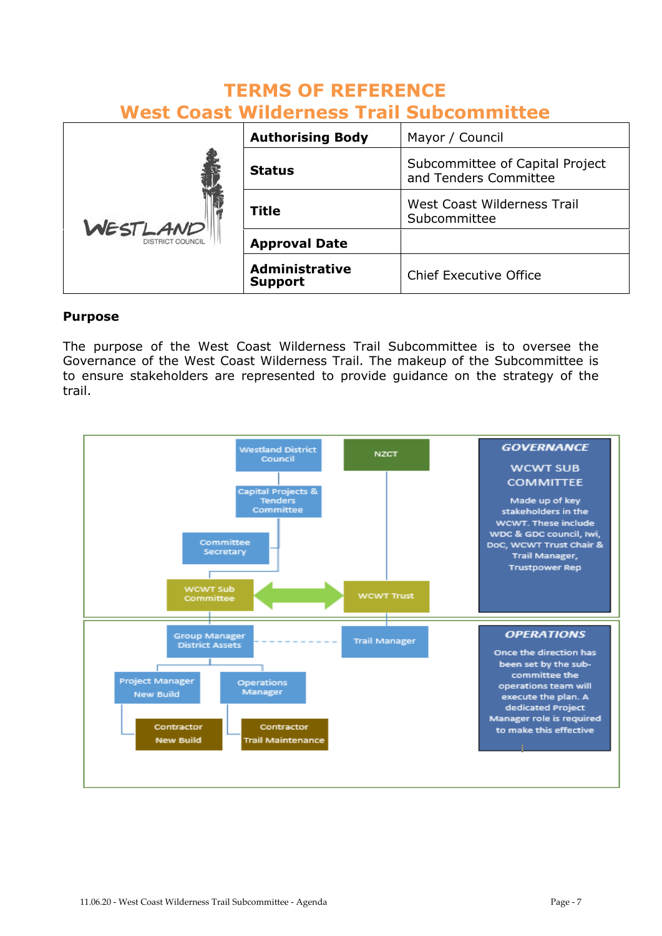#### **TERMS OF REFERENCE West Coast Wilderness Trail Subcommittee**

|                                     | <b>Authorising Body</b>                 | Mayor / Council                                          |
|-------------------------------------|-----------------------------------------|----------------------------------------------------------|
| WESTLAND<br><b>DISTRICT COUNCIL</b> | <b>Status</b>                           | Subcommittee of Capital Project<br>and Tenders Committee |
|                                     | <b>Title</b>                            | West Coast Wilderness Trail<br>Subcommittee              |
|                                     | <b>Approval Date</b>                    |                                                          |
|                                     | <b>Administrative</b><br><b>Support</b> | <b>Chief Executive Office</b>                            |

#### **Purpose**

The purpose of the West Coast Wilderness Trail Subcommittee is to oversee the Governance of the West Coast Wilderness Trail. The makeup of the Subcommittee is to ensure stakeholders are represented to provide guidance on the strategy of the trail.

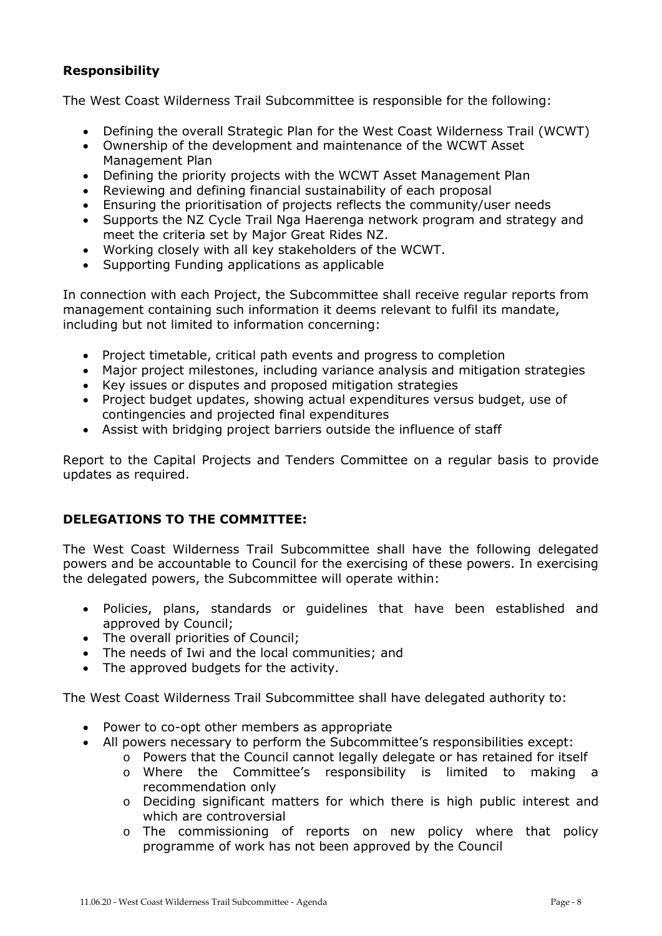#### **Responsibility**

The West Coast Wilderness Trail Subcommittee is responsible for the following:

- Defining the overall Strategic Plan for the West Coast Wilderness Trail (WCWT)
- Ownership of the development and maintenance of the WCWT Asset Management Plan
- Defining the priority projects with the WCWT Asset Management Plan
- Reviewing and defining financial sustainability of each proposal
- Ensuring the prioritisation of projects reflects the community/user needs
- Supports the NZ Cycle Trail Nga Haerenga network program and strategy and meet the criteria set by Major Great Rides NZ.
- Working closely with all key stakeholders of the WCWT.
- Supporting Funding applications as applicable

In connection with each Project, the Subcommittee shall receive regular reports from management containing such information it deems relevant to fulfil its mandate, including but not limited to information concerning:

- Project timetable, critical path events and progress to completion
- Major project milestones, including variance analysis and mitigation strategies
- Key issues or disputes and proposed mitigation strategies
- Project budget updates, showing actual expenditures versus budget, use of contingencies and projected final expenditures
- Assist with bridging project barriers outside the influence of staff

Report to the Capital Projects and Tenders Committee on a regular basis to provide updates as required.

#### **DELEGATIONS TO THE COMMITTEE:**

The West Coast Wilderness Trail Subcommittee shall have the following delegated powers and be accountable to Council for the exercising of these powers. In exercising the delegated powers, the Subcommittee will operate within:

- Policies, plans, standards or guidelines that have been established and approved by Council;
- The overall priorities of Council;
- The needs of Iwi and the local communities; and
- The approved budgets for the activity.

The West Coast Wilderness Trail Subcommittee shall have delegated authority to:

- Power to co-opt other members as appropriate
- All powers necessary to perform the Subcommittee's responsibilities except:
	- o Powers that the Council cannot legally delegate or has retained for itself
	- o Where the Committee's responsibility is limited to making a recommendation only
	- o Deciding significant matters for which there is high public interest and which are controversial
	- o The commissioning of reports on new policy where that policy programme of work has not been approved by the Council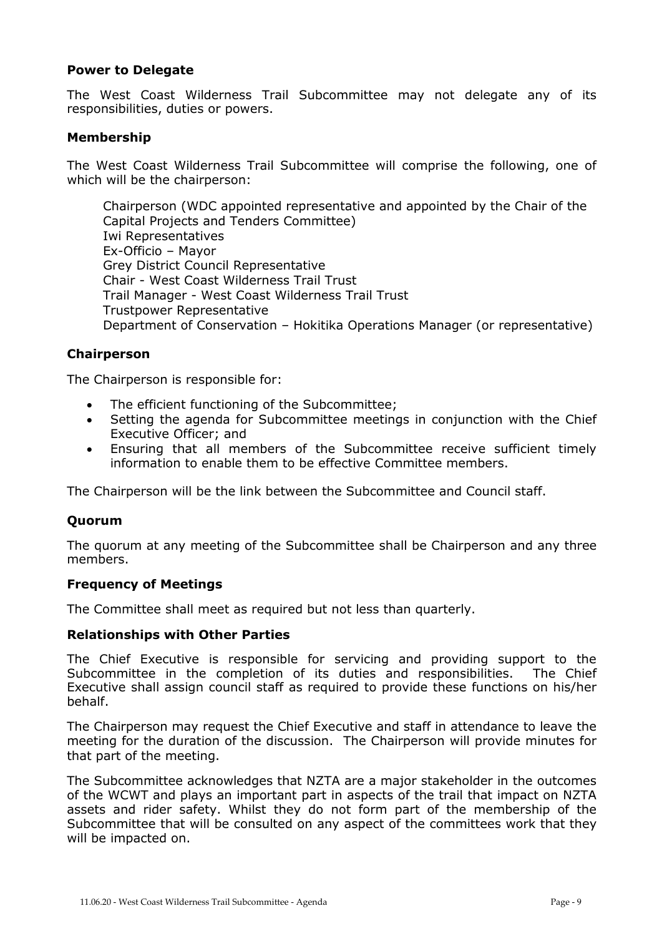#### **Power to Delegate**

The West Coast Wilderness Trail Subcommittee may not delegate any of its responsibilities, duties or powers.

#### **Membership**

The West Coast Wilderness Trail Subcommittee will comprise the following, one of which will be the chairperson:

Chairperson (WDC appointed representative and appointed by the Chair of the Capital Projects and Tenders Committee) Iwi Representatives Ex-Officio – Mayor Grey District Council Representative Chair - West Coast Wilderness Trail Trust Trail Manager - West Coast Wilderness Trail Trust Trustpower Representative Department of Conservation – Hokitika Operations Manager (or representative)

#### **Chairperson**

The Chairperson is responsible for:

- The efficient functioning of the Subcommittee;
- Setting the agenda for Subcommittee meetings in conjunction with the Chief Executive Officer; and
- Ensuring that all members of the Subcommittee receive sufficient timely information to enable them to be effective Committee members.

The Chairperson will be the link between the Subcommittee and Council staff.

#### **Quorum**

The quorum at any meeting of the Subcommittee shall be Chairperson and any three members.

#### **Frequency of Meetings**

The Committee shall meet as required but not less than quarterly.

#### **Relationships with Other Parties**

The Chief Executive is responsible for servicing and providing support to the Subcommittee in the completion of its duties and responsibilities. The Chief Executive shall assign council staff as required to provide these functions on his/her behalf.

The Chairperson may request the Chief Executive and staff in attendance to leave the meeting for the duration of the discussion. The Chairperson will provide minutes for that part of the meeting.

The Subcommittee acknowledges that NZTA are a major stakeholder in the outcomes of the WCWT and plays an important part in aspects of the trail that impact on NZTA assets and rider safety. Whilst they do not form part of the membership of the Subcommittee that will be consulted on any aspect of the committees work that they will be impacted on.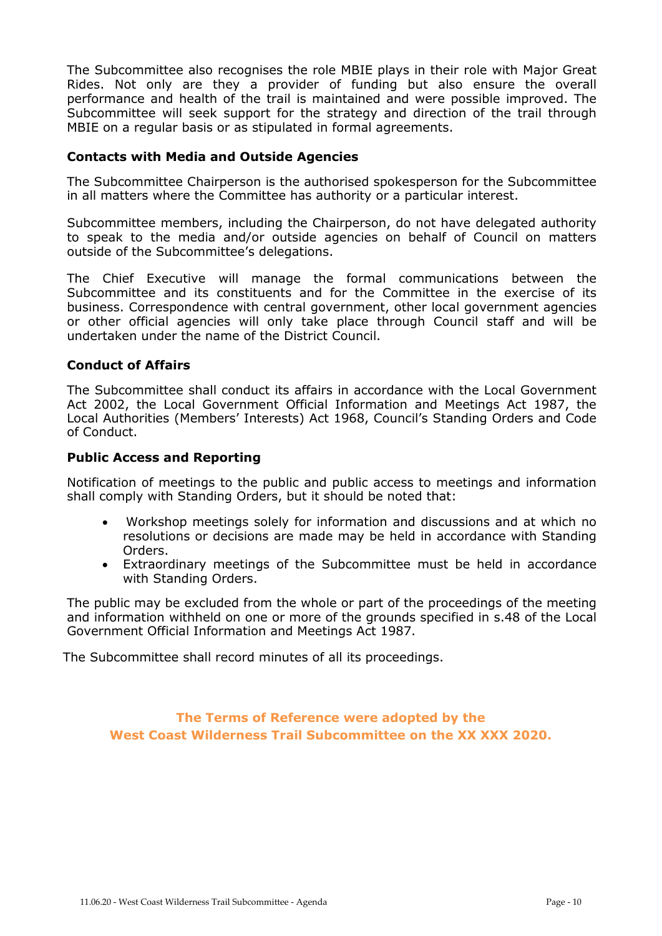The Subcommittee also recognises the role MBIE plays in their role with Major Great Rides. Not only are they a provider of funding but also ensure the overall performance and health of the trail is maintained and were possible improved. The Subcommittee will seek support for the strategy and direction of the trail through MBIE on a regular basis or as stipulated in formal agreements.

#### **Contacts with Media and Outside Agencies**

The Subcommittee Chairperson is the authorised spokesperson for the Subcommittee in all matters where the Committee has authority or a particular interest.

Subcommittee members, including the Chairperson, do not have delegated authority to speak to the media and/or outside agencies on behalf of Council on matters outside of the Subcommittee's delegations.

The Chief Executive will manage the formal communications between the Subcommittee and its constituents and for the Committee in the exercise of its business. Correspondence with central government, other local government agencies or other official agencies will only take place through Council staff and will be undertaken under the name of the District Council.

#### **Conduct of Affairs**

The Subcommittee shall conduct its affairs in accordance with the Local Government Act 2002, the Local Government Official Information and Meetings Act 1987, the Local Authorities (Members' Interests) Act 1968, Council's Standing Orders and Code of Conduct.

#### **Public Access and Reporting**

Notification of meetings to the public and public access to meetings and information shall comply with Standing Orders, but it should be noted that:

- Workshop meetings solely for information and discussions and at which no resolutions or decisions are made may be held in accordance with Standing Orders.
- Extraordinary meetings of the Subcommittee must be held in accordance with Standing Orders.

The public may be excluded from the whole or part of the proceedings of the meeting and information withheld on one or more of the grounds specified in s.48 of the Local Government Official Information and Meetings Act 1987.

The Subcommittee shall record minutes of all its proceedings.

**The Terms of Reference were adopted by the West Coast Wilderness Trail Subcommittee on the XX XXX 2020.**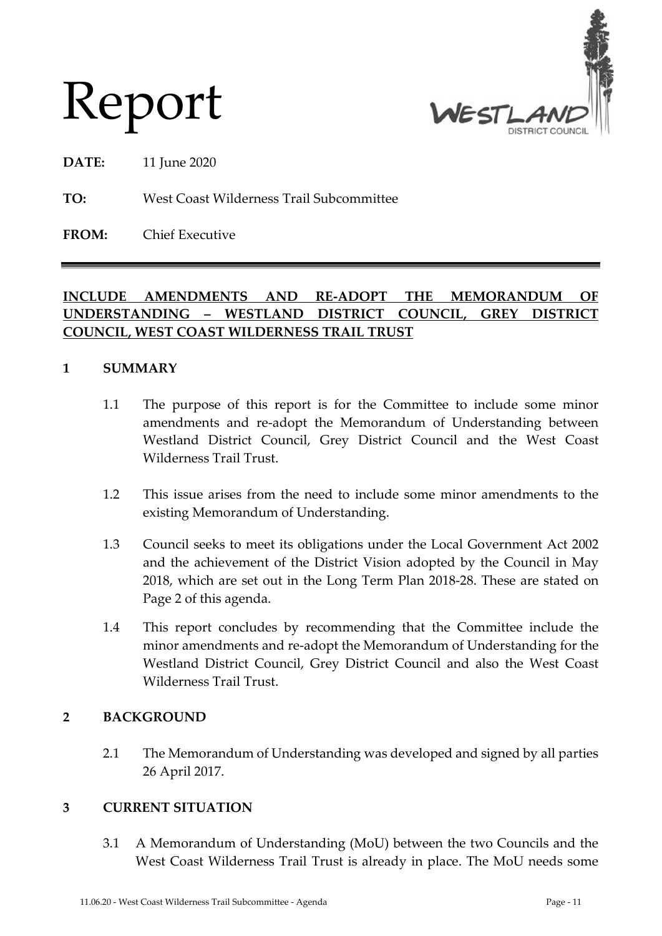

Report

**DATE:** 11 June 2020

**TO:** West Coast Wilderness Trail Subcommittee

**FROM:** Chief Executive

#### **INCLUDE AMENDMENTS AND RE-ADOPT THE MEMORANDUM OF UNDERSTANDING – WESTLAND DISTRICT COUNCIL, GREY DISTRICT COUNCIL, WEST COAST WILDERNESS TRAIL TRUST**

#### **1 SUMMARY**

- 1.1 The purpose of this report is for the Committee to include some minor amendments and re-adopt the Memorandum of Understanding between Westland District Council, Grey District Council and the West Coast Wilderness Trail Trust.
- 1.2 This issue arises from the need to include some minor amendments to the existing Memorandum of Understanding.
- 1.3 Council seeks to meet its obligations under the Local Government Act 2002 and the achievement of the District Vision adopted by the Council in May 2018, which are set out in the Long Term Plan 2018-28. These are stated on Page 2 of this agenda.
- 1.4 This report concludes by recommending that the Committee include the minor amendments and re-adopt the Memorandum of Understanding for the Westland District Council, Grey District Council and also the West Coast Wilderness Trail Trust.

#### **2 BACKGROUND**

2.1 The Memorandum of Understanding was developed and signed by all parties 26 April 2017.

#### **3 CURRENT SITUATION**

3.1 A Memorandum of Understanding (MoU) between the two Councils and the West Coast Wilderness Trail Trust is already in place. The MoU needs some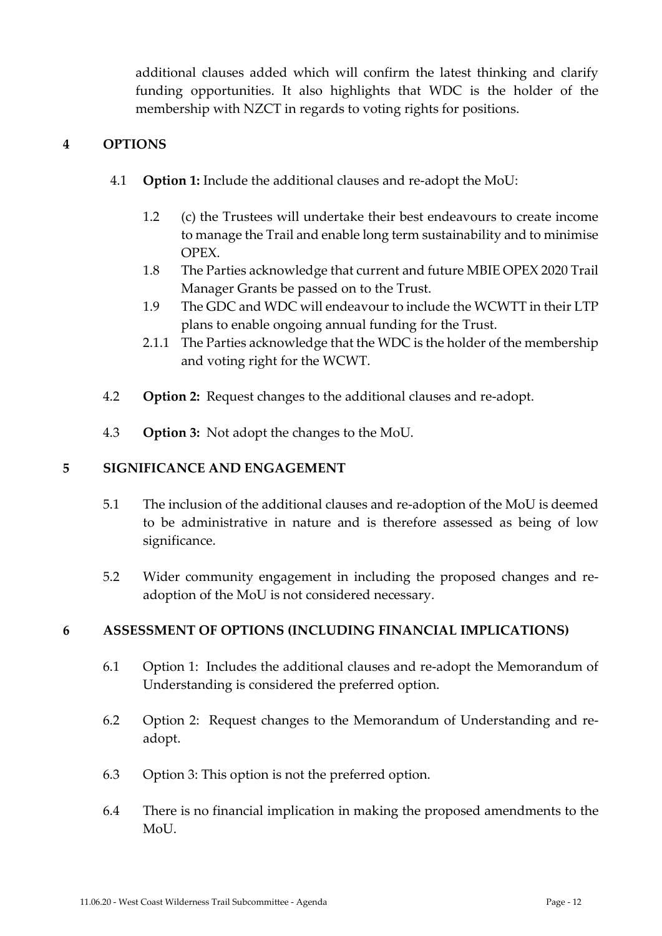additional clauses added which will confirm the latest thinking and clarify funding opportunities. It also highlights that WDC is the holder of the membership with NZCT in regards to voting rights for positions.

#### **4 OPTIONS**

- 4.1 **Option 1:** Include the additional clauses and re-adopt the MoU:
	- 1.2 (c) the Trustees will undertake their best endeavours to create income to manage the Trail and enable long term sustainability and to minimise OPEX.
	- 1.8 The Parties acknowledge that current and future MBIE OPEX 2020 Trail Manager Grants be passed on to the Trust.
	- 1.9 The GDC and WDC will endeavour to include the WCWTT in their LTP plans to enable ongoing annual funding for the Trust.
	- 2.1.1 The Parties acknowledge that the WDC is the holder of the membership and voting right for the WCWT.
- 4.2 **Option 2:** Request changes to the additional clauses and re-adopt.
- 4.3 **Option 3:** Not adopt the changes to the MoU.

#### **5 SIGNIFICANCE AND ENGAGEMENT**

- 5.1 The inclusion of the additional clauses and re-adoption of the MoU is deemed to be administrative in nature and is therefore assessed as being of low significance.
- 5.2 Wider community engagement in including the proposed changes and readoption of the MoU is not considered necessary.

#### **6 ASSESSMENT OF OPTIONS (INCLUDING FINANCIAL IMPLICATIONS)**

- 6.1 Option 1: Includes the additional clauses and re-adopt the Memorandum of Understanding is considered the preferred option.
- 6.2 Option 2: Request changes to the Memorandum of Understanding and readopt.
- 6.3 Option 3: This option is not the preferred option.
- 6.4 There is no financial implication in making the proposed amendments to the MoU.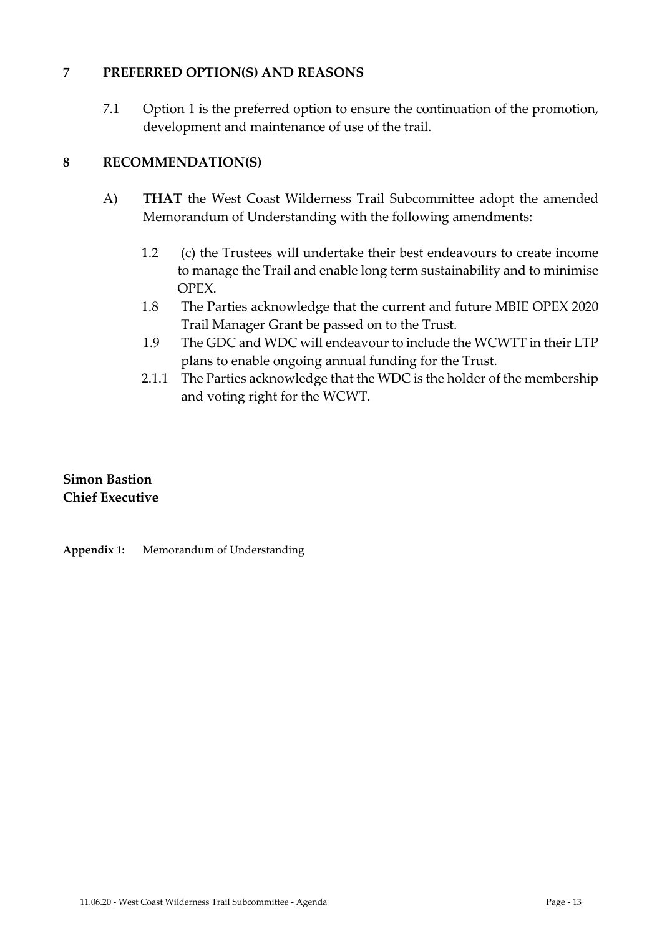#### **7 PREFERRED OPTION(S) AND REASONS**

7.1 Option 1 is the preferred option to ensure the continuation of the promotion, development and maintenance of use of the trail.

#### **8 RECOMMENDATION(S)**

- A) **THAT** the West Coast Wilderness Trail Subcommittee adopt the amended Memorandum of Understanding with the following amendments:
	- 1.2 (c) the Trustees will undertake their best endeavours to create income to manage the Trail and enable long term sustainability and to minimise OPEX.
	- 1.8 The Parties acknowledge that the current and future MBIE OPEX 2020 Trail Manager Grant be passed on to the Trust.
	- 1.9 The GDC and WDC will endeavour to include the WCWTT in their LTP plans to enable ongoing annual funding for the Trust.
	- 2.1.1 The Parties acknowledge that the WDC is the holder of the membership and voting right for the WCWT.

#### **Simon Bastion Chief Executive**

**Appendix 1:** Memorandum of Understanding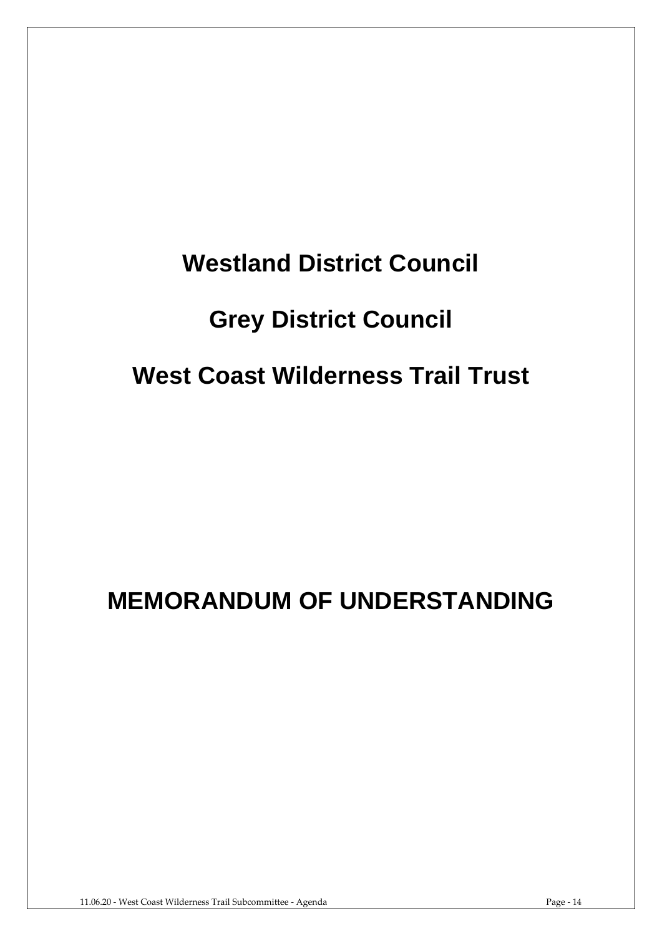## **Westland District Council**

## **Grey District Council**

## **West Coast Wilderness Trail Trust**

## **MEMORANDUM OF UNDERSTANDING**

11.06.20 - West Coast Wilderness Trail Subcommittee - Agenda Page - 14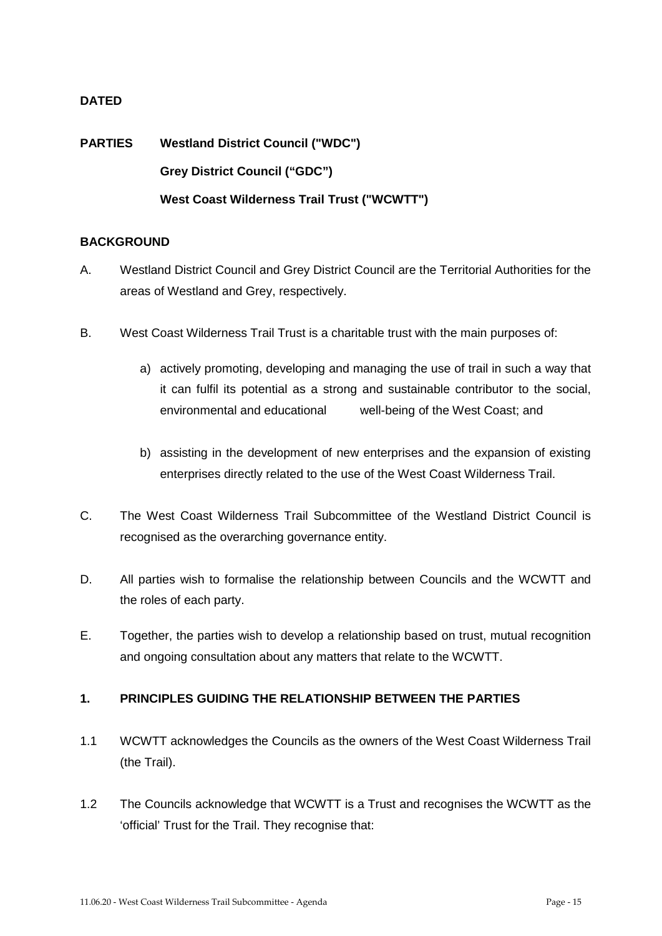#### **DATED**

**PARTIES Westland District Council ("WDC") Grey District Council ("GDC") West Coast Wilderness Trail Trust ("WCWTT")**

#### **BACKGROUND**

- A. Westland District Council and Grey District Council are the Territorial Authorities for the areas of Westland and Grey, respectively.
- B. West Coast Wilderness Trail Trust is a charitable trust with the main purposes of:
	- a) actively promoting, developing and managing the use of trail in such a way that it can fulfil its potential as a strong and sustainable contributor to the social, environmental and educational well-being of the West Coast; and
	- b) assisting in the development of new enterprises and the expansion of existing enterprises directly related to the use of the West Coast Wilderness Trail.
- C. The West Coast Wilderness Trail Subcommittee of the Westland District Council is recognised as the overarching governance entity.
- D. All parties wish to formalise the relationship between Councils and the WCWTT and the roles of each party.
- E. Together, the parties wish to develop a relationship based on trust, mutual recognition and ongoing consultation about any matters that relate to the WCWTT.

#### **1. PRINCIPLES GUIDING THE RELATIONSHIP BETWEEN THE PARTIES**

- 1.1 WCWTT acknowledges the Councils as the owners of the West Coast Wilderness Trail (the Trail).
- 1.2 The Councils acknowledge that WCWTT is a Trust and recognises the WCWTT as the 'official' Trust for the Trail. They recognise that: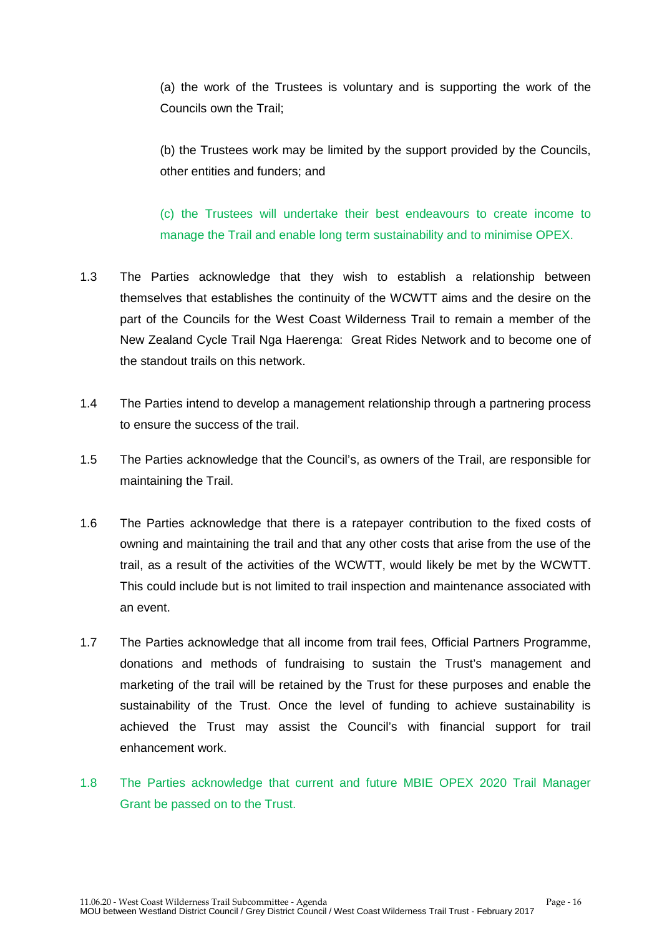(a) the work of the Trustees is voluntary and is supporting the work of the Councils own the Trail;

(b) the Trustees work may be limited by the support provided by the Councils, other entities and funders; and

(c) the Trustees will undertake their best endeavours to create income to manage the Trail and enable long term sustainability and to minimise OPEX.

- 1.3 The Parties acknowledge that they wish to establish a relationship between themselves that establishes the continuity of the WCWTT aims and the desire on the part of the Councils for the West Coast Wilderness Trail to remain a member of the New Zealand Cycle Trail Nga Haerenga: Great Rides Network and to become one of the standout trails on this network.
- 1.4 The Parties intend to develop a management relationship through a partnering process to ensure the success of the trail.
- 1.5 The Parties acknowledge that the Council's, as owners of the Trail, are responsible for maintaining the Trail.
- 1.6 The Parties acknowledge that there is a ratepayer contribution to the fixed costs of owning and maintaining the trail and that any other costs that arise from the use of the trail, as a result of the activities of the WCWTT, would likely be met by the WCWTT. This could include but is not limited to trail inspection and maintenance associated with an event.
- 1.7 The Parties acknowledge that all income from trail fees, Official Partners Programme, donations and methods of fundraising to sustain the Trust's management and marketing of the trail will be retained by the Trust for these purposes and enable the sustainability of the Trust. Once the level of funding to achieve sustainability is achieved the Trust may assist the Council's with financial support for trail enhancement work.
- 1.8 The Parties acknowledge that current and future MBIE OPEX 2020 Trail Manager Grant be passed on to the Trust.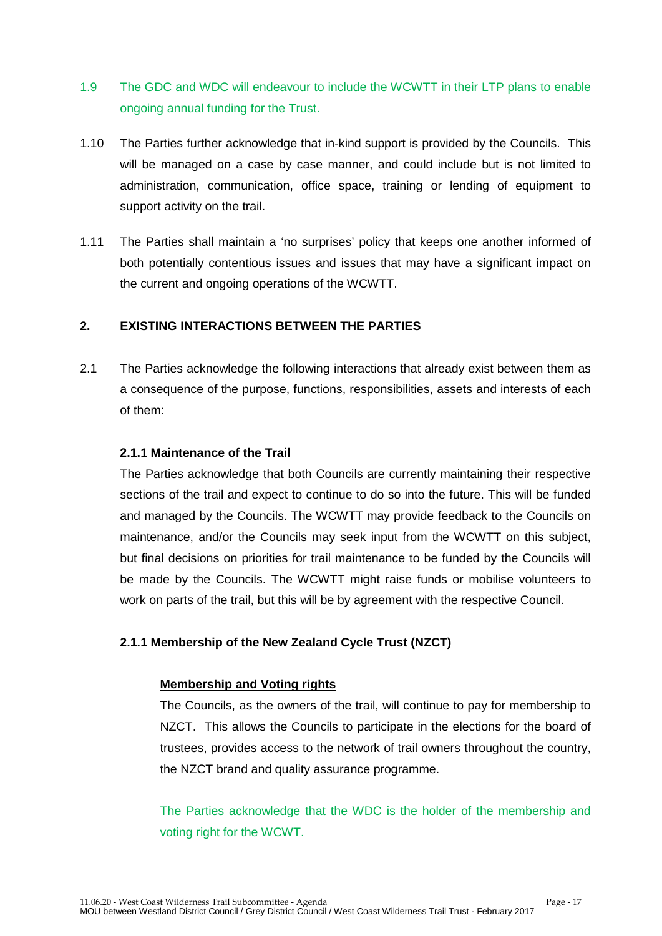- 1.9 The GDC and WDC will endeavour to include the WCWTT in their LTP plans to enable ongoing annual funding for the Trust.
- 1.10 The Parties further acknowledge that in-kind support is provided by the Councils. This will be managed on a case by case manner, and could include but is not limited to administration, communication, office space, training or lending of equipment to support activity on the trail.
- 1.11 The Parties shall maintain a 'no surprises' policy that keeps one another informed of both potentially contentious issues and issues that may have a significant impact on the current and ongoing operations of the WCWTT.

#### **2. EXISTING INTERACTIONS BETWEEN THE PARTIES**

2.1 The Parties acknowledge the following interactions that already exist between them as a consequence of the purpose, functions, responsibilities, assets and interests of each of them:

#### **2.1.1 Maintenance of the Trail**

The Parties acknowledge that both Councils are currently maintaining their respective sections of the trail and expect to continue to do so into the future. This will be funded and managed by the Councils. The WCWTT may provide feedback to the Councils on maintenance, and/or the Councils may seek input from the WCWTT on this subject, but final decisions on priorities for trail maintenance to be funded by the Councils will be made by the Councils. The WCWTT might raise funds or mobilise volunteers to work on parts of the trail, but this will be by agreement with the respective Council.

#### **2.1.1 Membership of the New Zealand Cycle Trust (NZCT)**

#### **Membership and Voting rights**

The Councils, as the owners of the trail, will continue to pay for membership to NZCT. This allows the Councils to participate in the elections for the board of trustees, provides access to the network of trail owners throughout the country, the NZCT brand and quality assurance programme.

The Parties acknowledge that the WDC is the holder of the membership and voting right for the WCWT.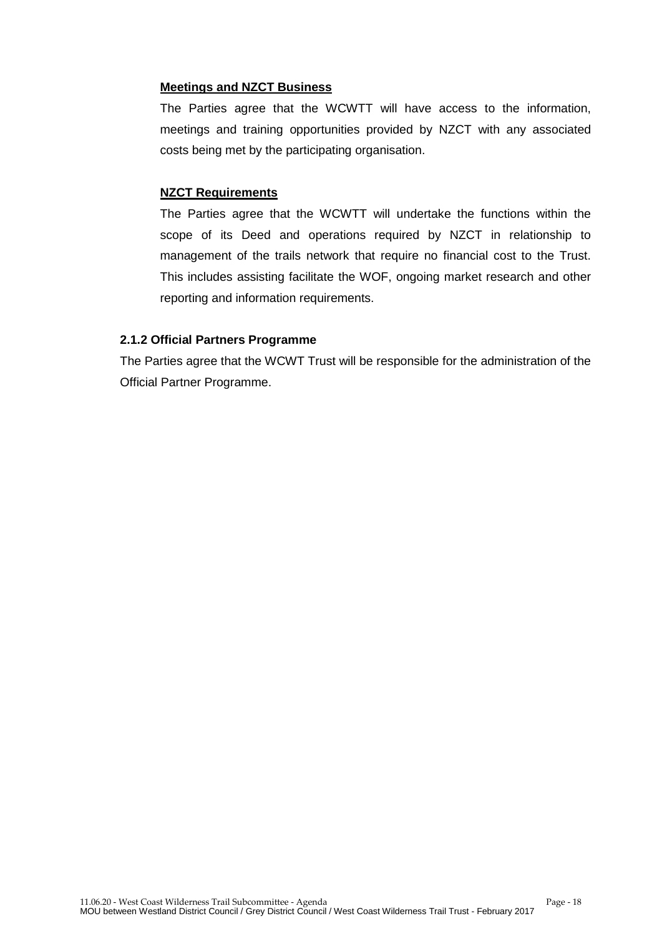#### **Meetings and NZCT Business**

The Parties agree that the WCWTT will have access to the information, meetings and training opportunities provided by NZCT with any associated costs being met by the participating organisation.

#### **NZCT Requirements**

The Parties agree that the WCWTT will undertake the functions within the scope of its Deed and operations required by NZCT in relationship to management of the trails network that require no financial cost to the Trust. This includes assisting facilitate the WOF, ongoing market research and other reporting and information requirements.

#### **2.1.2 Official Partners Programme**

The Parties agree that the WCWT Trust will be responsible for the administration of the Official Partner Programme.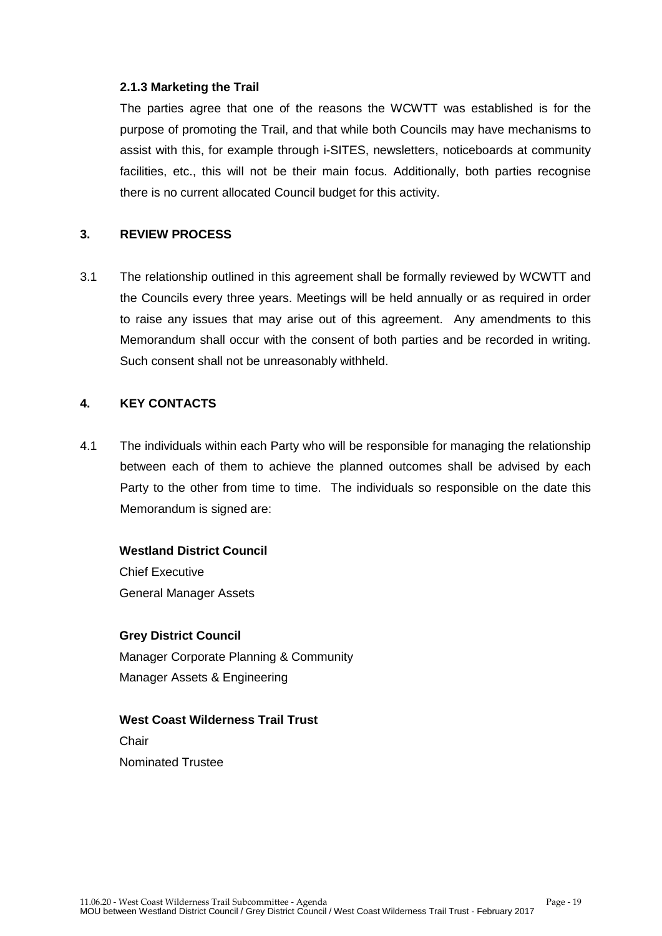#### **2.1.3 Marketing the Trail**

The parties agree that one of the reasons the WCWTT was established is for the purpose of promoting the Trail, and that while both Councils may have mechanisms to assist with this, for example through i-SITES, newsletters, noticeboards at community facilities, etc., this will not be their main focus. Additionally, both parties recognise there is no current allocated Council budget for this activity.

#### **3. REVIEW PROCESS**

3.1 The relationship outlined in this agreement shall be formally reviewed by WCWTT and the Councils every three years. Meetings will be held annually or as required in order to raise any issues that may arise out of this agreement. Any amendments to this Memorandum shall occur with the consent of both parties and be recorded in writing. Such consent shall not be unreasonably withheld.

#### **4. KEY CONTACTS**

4.1 The individuals within each Party who will be responsible for managing the relationship between each of them to achieve the planned outcomes shall be advised by each Party to the other from time to time. The individuals so responsible on the date this Memorandum is signed are:

#### **Westland District Council**

Chief Executive General Manager Assets

#### **Grey District Council**

Manager Corporate Planning & Community Manager Assets & Engineering

#### **West Coast Wilderness Trail Trust**

Chair Nominated Trustee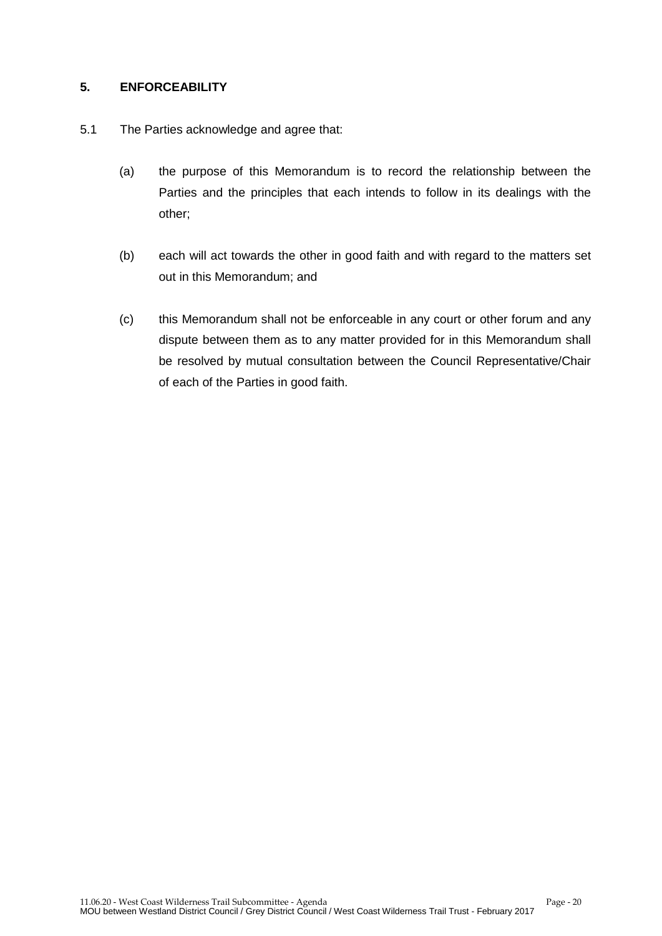#### **5. ENFORCEABILITY**

- 5.1 The Parties acknowledge and agree that:
	- (a) the purpose of this Memorandum is to record the relationship between the Parties and the principles that each intends to follow in its dealings with the other;
	- (b) each will act towards the other in good faith and with regard to the matters set out in this Memorandum; and
	- (c) this Memorandum shall not be enforceable in any court or other forum and any dispute between them as to any matter provided for in this Memorandum shall be resolved by mutual consultation between the Council Representative/Chair of each of the Parties in good faith.